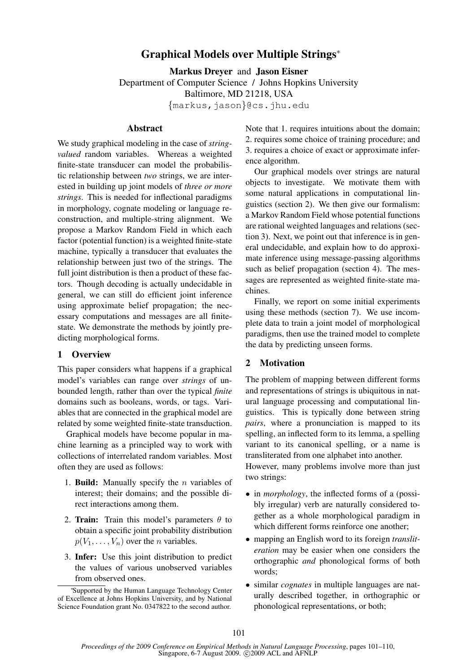# Graphical Models over Multiple Strings<sup>∗</sup>

Markus Dreyer and Jason Eisner Department of Computer Science / Johns Hopkins University Baltimore, MD 21218, USA  $\{\text{markus},\text{jason}\}$ @cs.jhu.edu

## **Abstract**

We study graphical modeling in the case of *stringvalued* random variables. Whereas a weighted finite-state transducer can model the probabilistic relationship between *two* strings, we are interested in building up joint models of *three or more strings*. This is needed for inflectional paradigms in morphology, cognate modeling or language reconstruction, and multiple-string alignment. We propose a Markov Random Field in which each factor (potential function) is a weighted finite-state machine, typically a transducer that evaluates the relationship between just two of the strings. The full joint distribution is then a product of these factors. Though decoding is actually undecidable in general, we can still do efficient joint inference using approximate belief propagation; the necessary computations and messages are all finitestate. We demonstrate the methods by jointly predicting morphological forms.

## 1 Overview

This paper considers what happens if a graphical model's variables can range over *strings* of unbounded length, rather than over the typical *finite* domains such as booleans, words, or tags. Variables that are connected in the graphical model are related by some weighted finite-state transduction.

Graphical models have become popular in machine learning as a principled way to work with collections of interrelated random variables. Most often they are used as follows:

- 1. **Build:** Manually specify the  $n$  variables of interest; their domains; and the possible direct interactions among them.
- 2. Train: Train this model's parameters  $\theta$  to obtain a specific joint probability distribution  $p(V_1, \ldots, V_n)$  over the *n* variables.
- 3. Infer: Use this joint distribution to predict the values of various unobserved variables from observed ones.

Note that 1. requires intuitions about the domain; 2. requires some choice of training procedure; and 3. requires a choice of exact or approximate inference algorithm.

Our graphical models over strings are natural objects to investigate. We motivate them with some natural applications in computational linguistics (section 2). We then give our formalism: a Markov Random Field whose potential functions are rational weighted languages and relations (section 3). Next, we point out that inference is in general undecidable, and explain how to do approximate inference using message-passing algorithms such as belief propagation (section 4). The messages are represented as weighted finite-state machines.

Finally, we report on some initial experiments using these methods (section 7). We use incomplete data to train a joint model of morphological paradigms, then use the trained model to complete the data by predicting unseen forms.

## 2 Motivation

The problem of mapping between different forms and representations of strings is ubiquitous in natural language processing and computational linguistics. This is typically done between string *pairs*, where a pronunciation is mapped to its spelling, an inflected form to its lemma, a spelling variant to its canonical spelling, or a name is transliterated from one alphabet into another.

However, many problems involve more than just two strings:

- in *morphology*, the inflected forms of a (possibly irregular) verb are naturally considered together as a whole morphological paradigm in which different forms reinforce one another;
- mapping an English word to its foreign *transliteration* may be easier when one considers the orthographic *and* phonological forms of both words;
- similar *cognates* in multiple languages are naturally described together, in orthographic or phonological representations, or both;

<sup>∗</sup> Supported by the Human Language Technology Center of Excellence at Johns Hopkins University, and by National Science Foundation grant No. 0347822 to the second author.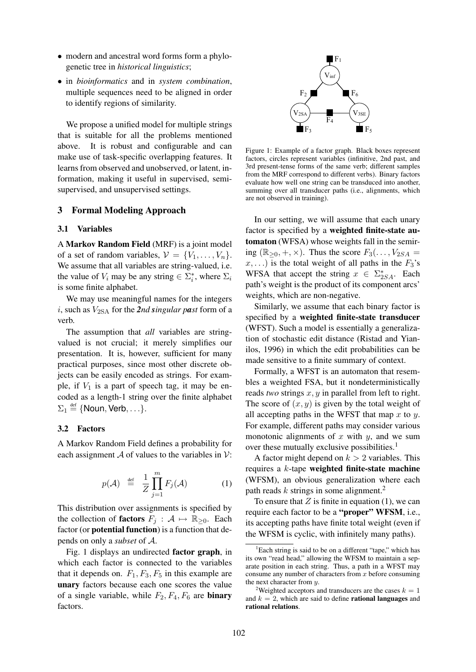- modern and ancestral word forms form a phylogenetic tree in *historical linguistics*;
- in *bioinformatics* and in *system combination*, multiple sequences need to be aligned in order to identify regions of similarity.

We propose a unified model for multiple strings that is suitable for all the problems mentioned above. It is robust and configurable and can make use of task-specific overlapping features. It learns from observed and unobserved, or latent, information, making it useful in supervised, semisupervised, and unsupervised settings.

## 3 Formal Modeling Approach

#### 3.1 Variables

A Markov Random Field (MRF) is a joint model of a set of random variables,  $V = \{V_1, \ldots, V_n\}.$ We assume that all variables are string-valued, i.e. the value of  $V_i$  may be any string  $\in \Sigma_i^*$ , where  $\Sigma_i$ is some finite alphabet.

We may use meaningful names for the integers i, such as  $V_{2SA}$  for the 2nd singular past form of a verb.

The assumption that *all* variables are stringvalued is not crucial; it merely simplifies our presentation. It is, however, sufficient for many practical purposes, since most other discrete objects can be easily encoded as strings. For example, if  $V_1$  is a part of speech tag, it may be encoded as a length-1 string over the finite alphabet  $\Sigma_1 \stackrel{\text{def}}{=} \{\text{Noun}, \text{Verb}, \ldots\}.$ 

## 3.2 Factors

A Markov Random Field defines a probability for each assignment A of values to the variables in  $\mathcal{V}$ :

$$
p(\mathcal{A}) \stackrel{\text{def}}{=} \frac{1}{Z} \prod_{j=1}^{m} F_j(\mathcal{A}) \tag{1}
$$

This distribution over assignments is specified by the collection of **factors**  $F_i : A \mapsto \mathbb{R}_{\geq 0}$ . Each factor (or potential function) is a function that depends on only a *subset* of A.

Fig. 1 displays an undirected factor graph, in which each factor is connected to the variables that it depends on.  $F_1, F_3, F_5$  in this example are unary factors because each one scores the value of a single variable, while  $F_2, F_4, F_6$  are **binary** factors.



Figure 1: Example of a factor graph. Black boxes represent factors, circles represent variables (infinitive, 2nd past, and 3rd present-tense forms of the same verb; different samples from the MRF correspond to different verbs). Binary factors evaluate how well one string can be transduced into another, summing over all transducer paths (i.e., alignments, which are not observed in training).

In our setting, we will assume that each unary factor is specified by a weighted finite-state automaton (WFSA) whose weights fall in the semiring  $(\mathbb{R}_{\geq 0}, +, \times)$ . Thus the score  $F_3(\ldots, V_{2SA} =$  $x, \ldots$ ) is the total weight of all paths in the  $F_3$ 's WFSA that accept the string  $x \in \Sigma_{2SA}^*$ . Each path's weight is the product of its component arcs' weights, which are non-negative.

Similarly, we assume that each binary factor is specified by a weighted finite-state transducer (WFST). Such a model is essentially a generalization of stochastic edit distance (Ristad and Yianilos, 1996) in which the edit probabilities can be made sensitive to a finite summary of context.

Formally, a WFST is an automaton that resembles a weighted FSA, but it nondeterministically reads *two* strings x, y in parallel from left to right. The score of  $(x, y)$  is given by the total weight of all accepting paths in the WFST that map  $x$  to  $y$ . For example, different paths may consider various monotonic alignments of x with  $y$ , and we sum over these mutually exclusive possibilities.<sup>1</sup>

A factor might depend on  $k > 2$  variables. This requires a k-tape weighted finite-state machine (WFSM), an obvious generalization where each path reads  $k$  strings in some alignment.<sup>2</sup>

To ensure that  $Z$  is finite in equation (1), we can require each factor to be a "proper" WFSM, i.e., its accepting paths have finite total weight (even if the WFSM is cyclic, with infinitely many paths).

 ${}^{1}$ Each string is said to be on a different "tape," which has its own "read head," allowing the WFSM to maintain a separate position in each string. Thus, a path in a WFST may consume any number of characters from  $x$  before consuming the next character from y.

<sup>&</sup>lt;sup>2</sup>Weighted acceptors and transducers are the cases  $k = 1$ and  $k = 2$ , which are said to define **rational languages** and rational relations.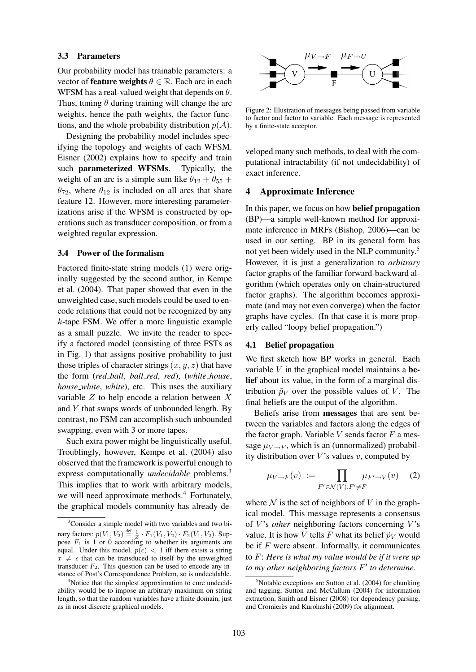## 3.3 Parameters

Our probability model has trainable parameters: a vector of **feature weights**  $\theta \in \mathbb{R}$ . Each arc in each WFSM has a real-valued weight that depends on  $\theta$ . Thus, tuning  $\theta$  during training will change the arc weights, hence the path weights, the factor functions, and the whole probability distribution  $p(A)$ .

Designing the probability model includes specifying the topology and weights of each WFSM. Eisner (2002) explains how to specify and train such parameterized WFSMs. Typically, the weight of an arc is a simple sum like  $\theta_{12} + \theta_{55} +$  $\theta_{72}$ , where  $\theta_{12}$  is included on all arcs that share feature 12. However, more interesting parameterizations arise if the WFSM is constructed by operations such as transducer composition, or from a weighted regular expression.

## 3.4 Power of the formalism

Factored finite-state string models (1) were originally suggested by the second author, in Kempe et al. (2004). That paper showed that even in the unweighted case, such models could be used to encode relations that could not be recognized by any k-tape FSM. We offer a more linguistic example as a small puzzle. We invite the reader to specify a factored model (consisting of three FSTs as in Fig. 1) that assigns positive probability to just those triples of character strings  $(x, y, z)$  that have the form (*red ball*, *ball red*, *red*), (*white house*, *house white*, *white*), etc. This uses the auxiliary variable  $Z$  to help encode a relation between  $X$ and Y that swaps words of unbounded length. By contrast, no FSM can accomplish such unbounded swapping, even with 3 or more tapes.

Such extra power might be linguistically useful. Troublingly, however, Kempe et al. (2004) also observed that the framework is powerful enough to express computationally *undecidable* problems.<sup>3</sup> This implies that to work with arbitrary models, we will need approximate methods.<sup>4</sup> Fortunately, the graphical models community has already de-



Figure 2: Illustration of messages being passed from variable to factor and factor to variable. Each message is represented by a finite-state acceptor.

veloped many such methods, to deal with the computational intractability (if not undecidability) of exact inference.

## 4 Approximate Inference

In this paper, we focus on how belief propagation (BP)—a simple well-known method for approximate inference in MRFs (Bishop, 2006)—can be used in our setting. BP in its general form has not yet been widely used in the NLP community.<sup>5</sup> However, it is just a generalization to *arbitrary* factor graphs of the familiar forward-backward algorithm (which operates only on chain-structured factor graphs). The algorithm becomes approximate (and may not even converge) when the factor graphs have cycles. (In that case it is more properly called "loopy belief propagation.")

## 4.1 Belief propagation

We first sketch how BP works in general. Each variable  $V$  in the graphical model maintains a belief about its value, in the form of a marginal distribution  $\tilde{p}_V$  over the possible values of V. The final beliefs are the output of the algorithm.

Beliefs arise from messages that are sent between the variables and factors along the edges of the factor graph. Variable  $V$  sends factor  $F$  a message  $\mu_{V \to F}$ , which is an (unnormalized) probability distribution over  $V$ 's values  $v$ , computed by

$$
\mu_{V \to F}(v) := \prod_{F' \in \mathcal{N}(V), F' \neq F} \mu_{F' \to V}(v) \tag{2}
$$

where  $\mathcal N$  is the set of neighbors of V in the graphical model. This message represents a consensus of V's *other* neighboring factors concerning V's value. It is how V tells F what its belief  $\tilde{p}_V$  would be if  $F$  were absent. Informally, it communicates to F: *Here is what my value would be if it were up to my other neighboring factors* F 0 *to determine.*

<sup>&</sup>lt;sup>3</sup>Consider a simple model with two variables and two binary factors:  $p(V_1, V_2) \stackrel{\text{def}}{=} \frac{1}{Z} \cdot F_1(V_1, V_2) \cdot F_2(V_1, V_2)$ . Suppose  $F_1$  is 1 or 0 according to whether its arguments are equal. Under this model,  $p(\epsilon) < 1$  iff there exists a string  $x \neq \epsilon$  that can be transduced to itself by the unweighted transducer  $F_2$ . This question can be used to encode any instance of Post's Correspondence Problem, so is undecidable.

<sup>&</sup>lt;sup>4</sup>Notice that the simplest approximation to cure undecidability would be to impose an arbitrary maximum on string length, so that the random variables have a finite domain, just as in most discrete graphical models.

 $5$ Notable exceptions are Sutton et al. (2004) for chunking and tagging, Sutton and McCallum (2004) for information extraction, Smith and Eisner (2008) for dependency parsing, and Cromierès and Kurohashi (2009) for alignment.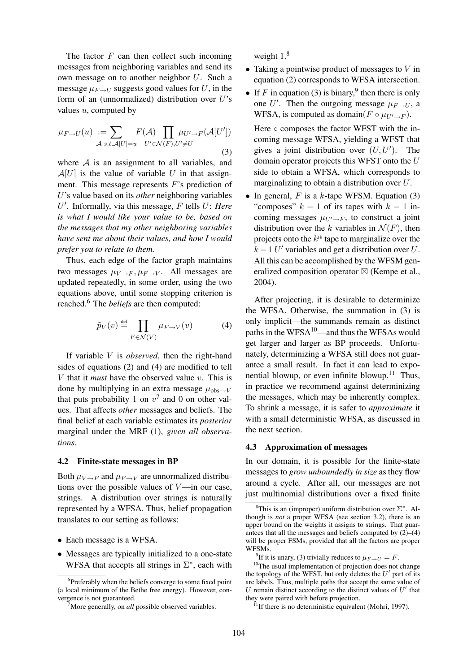The factor  $F$  can then collect such incoming messages from neighboring variables and send its own message on to another neighbor U. Such a message  $\mu_{F\rightarrow U}$  suggests good values for U, in the form of an (unnormalized) distribution over  $U$ 's values  $u$ , computed by

$$
\mu_{F \to U}(u) := \sum_{\mathcal{A} \text{ s.t.} \mathcal{A}[U] = u} F(\mathcal{A}) \prod_{U' \in \mathcal{N}(F), U' \neq U} \mu_{U' \to F}(\mathcal{A}[U'])
$$
\n(3)

where  $A$  is an assignment to all variables, and  $A[U]$  is the value of variable U in that assignment. This message represents F's prediction of U's value based on its *other* neighboring variables U 0 . Informally, via this message, F tells U: *Here is what I would like your value to be, based on the messages that my other neighboring variables have sent me about their values, and how I would prefer you to relate to them.*

Thus, each edge of the factor graph maintains two messages  $\mu_{V\rightarrow F}, \mu_{F\rightarrow V}$ . All messages are updated repeatedly, in some order, using the two equations above, until some stopping criterion is reached.<sup>6</sup> The *beliefs* are then computed:

$$
\tilde{p}_V(v) \stackrel{\text{def}}{=} \prod_{F \in \mathcal{N}(V)} \mu_{F \to V}(v) \tag{4}
$$

If variable V is *observed*, then the right-hand sides of equations (2) and (4) are modified to tell V that it *must* have the observed value v. This is done by multiplying in an extra message  $\mu_{\text{obs}\rightarrow V}$ that puts probability 1 on  $v^7$  and 0 on other values. That affects *other* messages and beliefs. The final belief at each variable estimates its *posterior* marginal under the MRF (1), *given all observations*.

### 4.2 Finite-state messages in BP

Both  $\mu_{V\rightarrow F}$  and  $\mu_{F\rightarrow V}$  are unnormalized distributions over the possible values of  $V$ —in our case, strings. A distribution over strings is naturally represented by a WFSA. Thus, belief propagation translates to our setting as follows:

- Each message is a WFSA.
- Messages are typically initialized to a one-state WFSA that accepts all strings in  $\Sigma^*$ , each with

weight  $1<sup>8</sup>$ 

- Taking a pointwise product of messages to  $V$  in equation (2) corresponds to WFSA intersection.
- If F in equation (3) is binary,<sup>9</sup> then there is only one U'. Then the outgoing message  $\mu_{F\to U}$ , a WFSA, is computed as domain( $F \circ \mu_{U' \to F}$ ).

Here ○ composes the factor WFST with the incoming message WFSA, yielding a WFST that gives a joint distribution over  $(U, U')$ . The domain operator projects this WFST onto the U side to obtain a WFSA, which corresponds to marginalizing to obtain a distribution over U.

• In general,  $F$  is a  $k$ -tape WFSM. Equation (3) "composes"  $k - 1$  of its tapes with  $k - 1$  incoming messages  $\mu_{U\rightarrow F}$ , to construct a joint distribution over the k variables in  $\mathcal{N}(F)$ , then projects onto the  $k<sup>th</sup>$  tape to marginalize over the  $k-1$  U' variables and get a distribution over U. All this can be accomplished by the WFSM generalized composition operator  $\boxtimes$  (Kempe et al., 2004).

After projecting, it is desirable to determinize the WFSA. Otherwise, the summation in (3) is only implicit—the summands remain as distinct paths in the  $WFSA^{10}$ —and thus the WFSAs would get larger and larger as BP proceeds. Unfortunately, determinizing a WFSA still does not guarantee a small result. In fact it can lead to exponential blowup, or even infinite blowup.<sup>11</sup> Thus, in practice we recommend against determinizing the messages, which may be inherently complex. To shrink a message, it is safer to *approximate* it with a small deterministic WFSA, as discussed in the next section.

#### 4.3 Approximation of messages

In our domain, it is possible for the finite-state messages to *grow unboundedly in size* as they flow around a cycle. After all, our messages are not just multinomial distributions over a fixed finite

<sup>&</sup>lt;sup>6</sup>Preferably when the beliefs converge to some fixed point (a local minimum of the Bethe free energy). However, convergence is not guaranteed.

<sup>&</sup>lt;sup>7</sup>More generally, on *all* possible observed variables.

<sup>&</sup>lt;sup>8</sup>This is an (improper) uniform distribution over  $\Sigma^*$ . Although is *not* a proper WFSA (see section 3.2), there is an upper bound on the weights it assigns to strings. That guarantees that all the messages and beliefs computed by  $(2)$ – $(4)$ will be proper FSMs, provided that all the factors are proper WFSMs.

<sup>&</sup>lt;sup>9</sup>If it is unary, (3) trivially reduces to  $\mu_{F \to U} = F$ .

<sup>&</sup>lt;sup>10</sup>The usual implementation of projection does not change the topology of the WFST, but only deletes the  $U'$  part of its arc labels. Thus, multiple paths that accept the same value of U remain distinct according to the distinct values of  $U'$  that they were paired with before projection.

 $11$ If there is no deterministic equivalent (Mohri, 1997).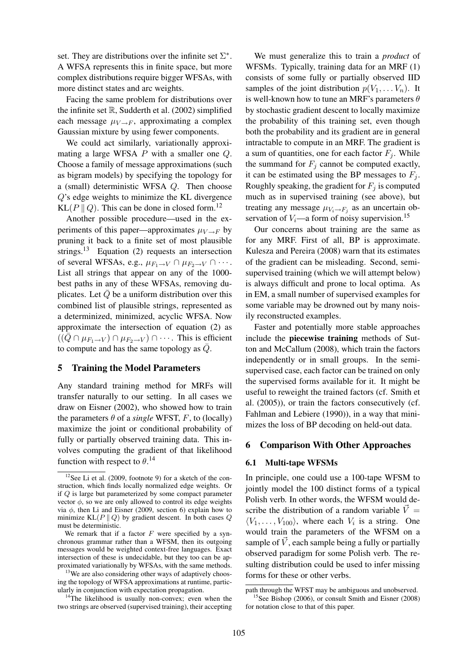set. They are distributions over the infinite set  $\Sigma^*$ . A WFSA represents this in finite space, but more complex distributions require bigger WFSAs, with more distinct states and arc weights.

Facing the same problem for distributions over the infinite set  $\mathbb R$ , Sudderth et al. (2002) simplified each message  $\mu_{V \to F}$ , approximating a complex Gaussian mixture by using fewer components.

We could act similarly, variationally approximating a large WFSA P with a smaller one Q. Choose a family of message approximations (such as bigram models) by specifying the topology for a (small) deterministic WFSA Q. Then choose Q's edge weights to minimize the KL divergence KL( $P \parallel Q$ ). This can be done in closed form.<sup>12</sup>

Another possible procedure—used in the experiments of this paper—approximates  $\mu_{V \to F}$  by pruning it back to a finite set of most plausible strings.<sup>13</sup> Equation (2) requests an intersection of several WFSAs, e.g.,  $\mu_{F_1 \to V} \cap \mu_{F_2 \to V} \cap \cdots$ . List all strings that appear on any of the 1000 best paths in any of these WFSAs, removing duplicates. Let  $\overline{Q}$  be a uniform distribution over this combined list of plausible strings, represented as a determinized, minimized, acyclic WFSA. Now approximate the intersection of equation (2) as  $((Q \cap \mu_{F_1 \to V}) \cap \mu_{F_2 \to V}) \cap \cdots$ . This is efficient to compute and has the same topology as  $\overline{Q}$ .

## 5 Training the Model Parameters

Any standard training method for MRFs will transfer naturally to our setting. In all cases we draw on Eisner (2002), who showed how to train the parameters  $\theta$  of a *single* WFST, F, to (locally) maximize the joint or conditional probability of fully or partially observed training data. This involves computing the gradient of that likelihood function with respect to  $\theta$ .<sup>14</sup>

We must generalize this to train a *product* of WFSMs. Typically, training data for an MRF (1) consists of some fully or partially observed IID samples of the joint distribution  $p(V_1, \ldots V_n)$ . It is well-known how to tune an MRF's parameters  $\theta$ by stochastic gradient descent to locally maximize the probability of this training set, even though both the probability and its gradient are in general intractable to compute in an MRF. The gradient is a sum of quantities, one for each factor  $F_i$ . While the summand for  $F_i$  cannot be computed exactly, it can be estimated using the BP messages to  $F_i$ . Roughly speaking, the gradient for  $F_i$  is computed much as in supervised training (see above), but treating any message  $\mu_{V_i \to F_j}$  as an uncertain observation of  $V_i$ —a form of noisy supervision.<sup>15</sup>

Our concerns about training are the same as for any MRF. First of all, BP is approximate. Kulesza and Pereira (2008) warn that its estimates of the gradient can be misleading. Second, semisupervised training (which we will attempt below) is always difficult and prone to local optima. As in EM, a small number of supervised examples for some variable may be drowned out by many noisily reconstructed examples.

Faster and potentially more stable approaches include the piecewise training methods of Sutton and McCallum (2008), which train the factors independently or in small groups. In the semisupervised case, each factor can be trained on only the supervised forms available for it. It might be useful to reweight the trained factors (cf. Smith et al. (2005)), or train the factors consecutively (cf. Fahlman and Lebiere (1990)), in a way that minimizes the loss of BP decoding on held-out data.

## 6 Comparison With Other Approaches

#### 6.1 Multi-tape WFSMs

In principle, one could use a 100-tape WFSM to jointly model the 100 distinct forms of a typical Polish verb. In other words, the WFSM would describe the distribution of a random variable  $\vec{V} =$  $\langle V_1, \ldots, V_{100} \rangle$ , where each  $V_i$  is a string. One would train the parameters of the WFSM on a sample of  $\vec{V}$ , each sample being a fully or partially observed paradigm for some Polish verb. The resulting distribution could be used to infer missing forms for these or other verbs.

 $12$ See Li et al. (2009, footnote 9) for a sketch of the construction, which finds locally normalized edge weights. Or if Q is large but parameterized by some compact parameter vector  $\phi$ , so we are only allowed to control its edge weights via  $φ$ , then Li and Eisner (2009, section 6) explain how to minimize  $KL(P || Q)$  by gradient descent. In both cases Q must be deterministic.

We remark that if a factor  $F$  were specified by a synchronous grammar rather than a WFSM, then its outgoing messages would be weighted context-free languages. Exact intersection of these is undecidable, but they too can be approximated variationally by WFSAs, with the same methods.

 $13$ We are also considering other ways of adaptively choosing the topology of WFSA approximations at runtime, particularly in conjunction with expectation propagation.

 $14$ The likelihood is usually non-convex; even when the two strings are observed (supervised training), their accepting

path through the WFST may be ambiguous and unobserved. <sup>15</sup>See Bishop (2006), or consult Smith and Eisner (2008)

for notation close to that of this paper.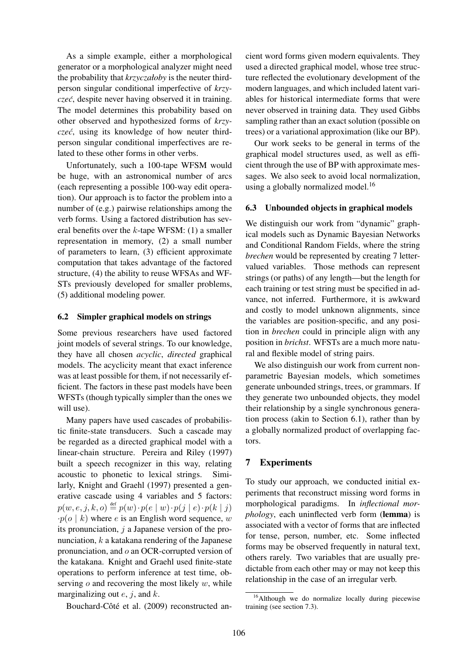As a simple example, either a morphological generator or a morphological analyzer might need the probability that *krzyczałoby* is the neuter thirdperson singular conditional imperfective of *krzyczec´*, despite never having observed it in training. The model determines this probability based on other observed and hypothesized forms of *krzyczec´*, using its knowledge of how neuter thirdperson singular conditional imperfectives are related to these other forms in other verbs.

Unfortunately, such a 100-tape WFSM would be huge, with an astronomical number of arcs (each representing a possible 100-way edit operation). Our approach is to factor the problem into a number of (e.g.) pairwise relationships among the verb forms. Using a factored distribution has several benefits over the k-tape WFSM: (1) a smaller representation in memory, (2) a small number of parameters to learn, (3) efficient approximate computation that takes advantage of the factored structure, (4) the ability to reuse WFSAs and WF-STs previously developed for smaller problems, (5) additional modeling power.

## 6.2 Simpler graphical models on strings

Some previous researchers have used factored joint models of several strings. To our knowledge, they have all chosen *acyclic*, *directed* graphical models. The acyclicity meant that exact inference was at least possible for them, if not necessarily efficient. The factors in these past models have been WFSTs (though typically simpler than the ones we will use).

Many papers have used cascades of probabilistic finite-state transducers. Such a cascade may be regarded as a directed graphical model with a linear-chain structure. Pereira and Riley (1997) built a speech recognizer in this way, relating acoustic to phonetic to lexical strings. Similarly, Knight and Graehl (1997) presented a generative cascade using 4 variables and 5 factors:  $p(w, e, j, k, o) \stackrel{\scriptscriptstyle{\mathsf{def}}}{=} p(w) \cdot p(e \mid w) \cdot p(j \mid e) \cdot p(k \mid j)$  $\cdot p(o \mid k)$  where e is an English word sequence, w its pronunciation,  $i$  a Japanese version of the pronunciation, k a katakana rendering of the Japanese pronunciation, and o an OCR-corrupted version of the katakana. Knight and Graehl used finite-state operations to perform inference at test time, observing  $o$  and recovering the most likely  $w$ , while marginalizing out  $e$ ,  $j$ , and  $k$ .

Bouchard-Côté et al. (2009) reconstructed an-

cient word forms given modern equivalents. They used a directed graphical model, whose tree structure reflected the evolutionary development of the modern languages, and which included latent variables for historical intermediate forms that were never observed in training data. They used Gibbs sampling rather than an exact solution (possible on trees) or a variational approximation (like our BP).

Our work seeks to be general in terms of the graphical model structures used, as well as efficient through the use of BP with approximate messages. We also seek to avoid local normalization, using a globally normalized model.<sup>16</sup>

## 6.3 Unbounded objects in graphical models

We distinguish our work from "dynamic" graphical models such as Dynamic Bayesian Networks and Conditional Random Fields, where the string *brechen* would be represented by creating 7 lettervalued variables. Those methods can represent strings (or paths) of any length—but the length for each training or test string must be specified in advance, not inferred. Furthermore, it is awkward and costly to model unknown alignments, since the variables are position-specific, and any position in *brechen* could in principle align with any position in *brichst*. WFSTs are a much more natural and flexible model of string pairs.

We also distinguish our work from current nonparametric Bayesian models, which sometimes generate unbounded strings, trees, or grammars. If they generate two unbounded objects, they model their relationship by a single synchronous generation process (akin to Section 6.1), rather than by a globally normalized product of overlapping factors.

## 7 Experiments

To study our approach, we conducted initial experiments that reconstruct missing word forms in morphological paradigms. In *inflectional morphology*, each uninflected verb form (lemma) is associated with a vector of forms that are inflected for tense, person, number, etc. Some inflected forms may be observed frequently in natural text, others rarely. Two variables that are usually predictable from each other may or may not keep this relationship in the case of an irregular verb.

<sup>&</sup>lt;sup>16</sup>Although we do normalize locally during piecewise training (see section 7.3).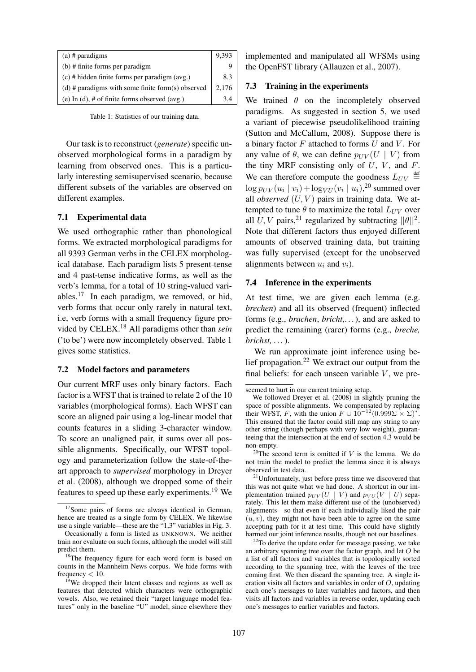| $(a)$ # paradigms                                   | 9,393 |
|-----------------------------------------------------|-------|
| $(b)$ # finite forms per paradigm                   |       |
| (c) # hidden finite forms per paradigm (avg.)       | 8.3   |
| (d) $#$ paradigms with some finite form(s) observed | 2.176 |
| (e) In (d), # of finite forms observed (avg.)       |       |

Table 1: Statistics of our training data.

Our task is to reconstruct (*generate*) specific unobserved morphological forms in a paradigm by learning from observed ones. This is a particularly interesting semisupervised scenario, because different subsets of the variables are observed on different examples.

## 7.1 Experimental data

We used orthographic rather than phonological forms. We extracted morphological paradigms for all 9393 German verbs in the CELEX morphological database. Each paradigm lists 5 present-tense and 4 past-tense indicative forms, as well as the verb's lemma, for a total of 10 string-valued variables.<sup>17</sup> In each paradigm, we removed, or hid, verb forms that occur only rarely in natural text, i.e, verb forms with a small frequency figure provided by CELEX.<sup>18</sup> All paradigms other than *sein* ('to be') were now incompletely observed. Table 1 gives some statistics.

### 7.2 Model factors and parameters

Our current MRF uses only binary factors. Each factor is a WFST that is trained to relate 2 of the 10 variables (morphological forms). Each WFST can score an aligned pair using a log-linear model that counts features in a sliding 3-character window. To score an unaligned pair, it sums over all possible alignments. Specifically, our WFST topology and parameterization follow the state-of-theart approach to *supervised* morphology in Dreyer et al. (2008), although we dropped some of their features to speed up these early experiments.<sup>19</sup> We

implemented and manipulated all WFSMs using the OpenFST library (Allauzen et al., 2007).

## 7.3 Training in the experiments

We trained  $\theta$  on the incompletely observed paradigms. As suggested in section 5, we used a variant of piecewise pseudolikelihood training (Sutton and McCallum, 2008). Suppose there is a binary factor  $F$  attached to forms  $U$  and  $V$ . For any value of  $\theta$ , we can define  $p_{UV}(U \mid V)$  from the tiny MRF consisting only of  $U$ ,  $V$ , and  $F$ . We can therefore compute the goodness  $L_{UV} \stackrel{\text{def}}{=}$  $\log p_{UV}(u_i \mid v_i) + \log_{VU}(v_i \mid u_i),^{20}$  summed over all *observed*  $(U, V)$  pairs in training data. We attempted to tune  $\theta$  to maximize the total  $L_{UV}$  over all U, V pairs,<sup>21</sup> regularized by subtracting  $||\theta||^2$ . Note that different factors thus enjoyed different amounts of observed training data, but training was fully supervised (except for the unobserved alignments between  $u_i$  and  $v_i$ ).

#### 7.4 Inference in the experiments

At test time, we are given each lemma (e.g. *brechen*) and all its observed (frequent) inflected forms (e.g., *brachen*, *bricht*,. . . ), and are asked to predict the remaining (rarer) forms (e.g., *breche, brichst, . . .*).

We run approximate joint inference using belief propagation.<sup>22</sup> We extract our output from the final beliefs: for each unseen variable  $V$ , we pre-

<sup>&</sup>lt;sup>17</sup>Some pairs of forms are always identical in German, hence are treated as a single form by CELEX. We likewise use a single variable—these are the "1,3" variables in Fig. 3.

Occasionally a form is listed as UNKNOWN. We neither train nor evaluate on such forms, although the model will still predict them.

<sup>&</sup>lt;sup>18</sup>The frequency figure for each word form is based on counts in the Mannheim News corpus. We hide forms with frequency  $< 10$ .

 $19$ We dropped their latent classes and regions as well as features that detected which characters were orthographic vowels. Also, we retained their "target language model features" only in the baseline "U" model, since elsewhere they

seemed to hurt in our current training setup.

We followed Dreyer et al. (2008) in slightly pruning the space of possible alignments. We compensated by replacing their WFST, F, with the union  $F \cup 10^{-12} (0.999 \Sigma \times \Sigma)^*$ . This ensured that the factor could still map any string to any other string (though perhaps with very low weight), guaranteeing that the intersection at the end of section 4.3 would be non-empty.

 $^{20}$ The second term is omitted if V is the lemma. We do not train the model to predict the lemma since it is always observed in test data.

<sup>&</sup>lt;sup>21</sup>Unfortunately, just before press time we discovered that this was not quite what we had done. A shortcut in our implementation trained  $p_{UV}(U \mid V)$  and  $p_{VU}(V \mid U)$  separately. This let them make different use of the (unobserved) alignments—so that even if each individually liked the pair  $(u, v)$ , they might not have been able to agree on the same accepting path for it at test time. This could have slightly harmed our joint inference results, though not our baselines.

 $^{22}$ To derive the update order for message passing, we take an arbitrary spanning tree over the factor graph, and let O be a list of all factors and variables that is topologically sorted according to the spanning tree, with the leaves of the tree coming first. We then discard the spanning tree. A single iteration visits all factors and variables in order of  $O$ , updating each one's messages to later variables and factors, and then visits all factors and variables in reverse order, updating each one's messages to earlier variables and factors.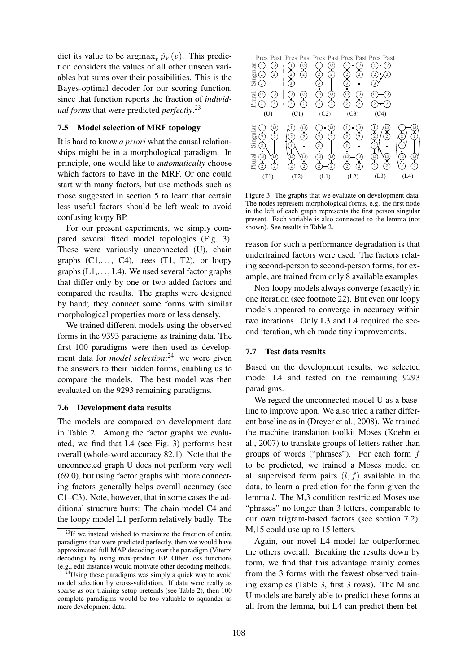dict its value to be  $\argmax_{v} \tilde{p}_V(v)$ . This prediction considers the values of all other unseen variables but sums over their possibilities. This is the Bayes-optimal decoder for our scoring function, since that function reports the fraction of *individual forms* that were predicted *perfectly*. 23

## 7.5 Model selection of MRF topology

It is hard to know *a priori* what the causal relationships might be in a morphological paradigm. In principle, one would like to *automatically* choose which factors to have in the MRF. Or one could start with many factors, but use methods such as those suggested in section 5 to learn that certain less useful factors should be left weak to avoid confusing loopy BP.

For our present experiments, we simply compared several fixed model topologies (Fig. 3). These were variously unconnected (U), chain graphs  $(C1, \ldots, C4)$ , trees  $(T1, T2)$ , or loopy graphs  $(L1, \ldots, L4)$ . We used several factor graphs that differ only by one or two added factors and compared the results. The graphs were designed by hand; they connect some forms with similar morphological properties more or less densely.

We trained different models using the observed forms in the 9393 paradigms as training data. The first 100 paradigms were then used as development data for *model selection*: <sup>24</sup> we were given the answers to their hidden forms, enabling us to compare the models. The best model was then evaluated on the 9293 remaining paradigms.

## 7.6 Development data results

The models are compared on development data in Table 2. Among the factor graphs we evaluated, we find that L4 (see Fig. 3) performs best overall (whole-word accuracy 82.1). Note that the unconnected graph U does not perform very well (69.0), but using factor graphs with more connecting factors generally helps overall accuracy (see C1–C3). Note, however, that in some cases the additional structure hurts: The chain model C4 and the loopy model L1 perform relatively badly. The



Figure 3: The graphs that we evaluate on development data. The nodes represent morphological forms, e.g. the first node in the left of each graph represents the first person singular present. Each variable is also connected to the lemma (not shown). See results in Table 2.

reason for such a performance degradation is that undertrained factors were used: The factors relating second-person to second-person forms, for example, are trained from only 8 available examples.

Non-loopy models always converge (exactly) in one iteration (see footnote 22). But even our loopy models appeared to converge in accuracy within two iterations. Only L3 and L4 required the second iteration, which made tiny improvements.

#### 7.7 Test data results

Based on the development results, we selected model L4 and tested on the remaining 9293 paradigms.

We regard the unconnected model U as a baseline to improve upon. We also tried a rather different baseline as in (Dreyer et al., 2008). We trained the machine translation toolkit Moses (Koehn et al., 2007) to translate groups of letters rather than groups of words ("phrases"). For each form f to be predicted, we trained a Moses model on all supervised form pairs  $(l, f)$  available in the data, to learn a prediction for the form given the lemma l. The M,3 condition restricted Moses use "phrases" no longer than 3 letters, comparable to our own trigram-based factors (see section 7.2). M,15 could use up to 15 letters.

Again, our novel L4 model far outperformed the others overall. Breaking the results down by form, we find that this advantage mainly comes from the 3 forms with the fewest observed training examples (Table 3, first 3 rows). The M and U models are barely able to predict these forms at all from the lemma, but L4 can predict them bet-

 $23$ If we instead wished to maximize the fraction of entire paradigms that were predicted perfectly, then we would have approximated full MAP decoding over the paradigm (Viterbi decoding) by using max-product BP. Other loss functions (e.g., edit distance) would motivate other decoding methods.

<sup>&</sup>lt;sup>4</sup>Using these paradigms was simply a quick way to avoid model selection by cross-validation. If data were really as sparse as our training setup pretends (see Table 2), then 100 complete paradigms would be too valuable to squander as mere development data.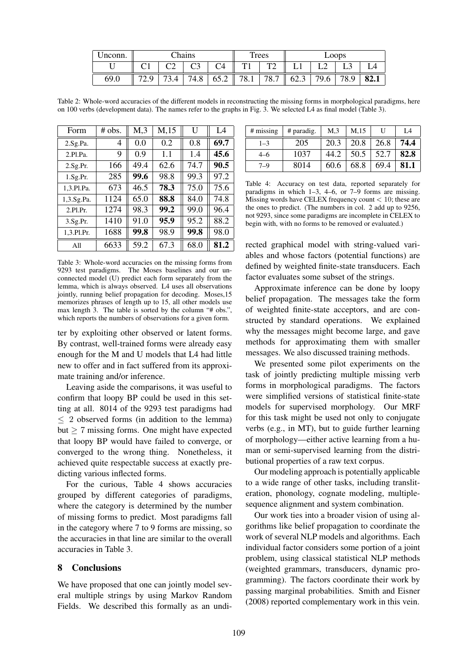| Unconn. | <b>Chains</b> |  |      | Trees |      | Loops        |      |      |      |      |
|---------|---------------|--|------|-------|------|--------------|------|------|------|------|
|         |               |  |      |       | T 1  | $\mathbf{m}$ |      |      |      |      |
| 69.0    | ر، ب          |  | 74.8 | 65.2  | 78.1 | 78.7         | 62.3 | 79.6 | 78.9 | 82.1 |

Table 2: Whole-word accuracies of the different models in reconstructing the missing forms in morphological paradigms, here on 100 verbs (development data). The names refer to the graphs in Fig. 3. We selected L4 as final model (Table 3).

| Form       | # obs. | M <sub>1</sub> | M <sub>15</sub> | U    | I 4  |
|------------|--------|----------------|-----------------|------|------|
| 2.Sg.Pa.   | 4      | 0.0            | 0.2             | 0.8  | 69.7 |
| 2.P1.Pa.   | 9      | 0.9            | 1.1             | 1.4  | 45.6 |
| 2.Sg.Pr.   | 166    | 49.4           | 62.6            | 74.7 | 90.5 |
| 1.Sg.Pr.   | 285    | 99.6           | 98.8            | 99.3 | 97.2 |
| 1,3.Pl.Pa. | 673    | 46.5           | 78.3            | 75.0 | 75.6 |
| 1,3.Sg.Pa. | 1124   | 65.0           | 88.8            | 84.0 | 74.8 |
| 2.P1.Pr.   | 1274   | 98.3           | 99.2            | 99.0 | 96.4 |
| 3.Sg.Pr.   | 1410   | 91.0           | 95.9            | 95.2 | 88.2 |
| 1.3.Pl.Pr. | 1688   | 99.8           | 98.9            | 99.8 | 98.0 |
| All        | 6633   | 59.2           | 67.3            | 68.0 | 81.2 |

Table 3: Whole-word accuracies on the missing forms from 9293 test paradigms. The Moses baselines and our unconnected model (U) predict each form separately from the lemma, which is always observed. L4 uses all observations jointly, running belief propagation for decoding. Moses,15 memorizes phrases of length up to 15, all other models use max length 3. The table is sorted by the column "# obs.", which reports the numbers of observations for a given form.

ter by exploiting other observed or latent forms. By contrast, well-trained forms were already easy enough for the M and U models that L4 had little new to offer and in fact suffered from its approximate training and/or inference.

Leaving aside the comparisons, it was useful to confirm that loopy BP could be used in this setting at all. 8014 of the 9293 test paradigms had  $\leq$  2 observed forms (in addition to the lemma) but  $\geq$  7 missing forms. One might have expected that loopy BP would have failed to converge, or converged to the wrong thing. Nonetheless, it achieved quite respectable success at exactly predicting various inflected forms.

For the curious, Table 4 shows accuracies grouped by different categories of paradigms, where the category is determined by the number of missing forms to predict. Most paradigms fall in the category where 7 to 9 forms are missing, so the accuracies in that line are similar to the overall accuracies in Table 3.

## 8 Conclusions

We have proposed that one can jointly model several multiple strings by using Markov Random Fields. We described this formally as an undi-

| # missing | # paradig. | M <sub>3</sub> | M,15 | U    | L4   |
|-----------|------------|----------------|------|------|------|
| $1 - 3$   | 205        | 20.3           | 20.8 | 26.8 | 74.4 |
| 4–6       | 1037       | 44.2           | 50.5 | 52.7 | 82.8 |
| $7 - 9$   | 8014       | 60.6           | 68.8 | 69.4 | 81.1 |

Table 4: Accuracy on test data, reported separately for paradigms in which 1–3, 4–6, or 7–9 forms are missing. Missing words have CELEX frequency count  $< 10$ ; these are the ones to predict. (The numbers in col. 2 add up to 9256, not 9293, since some paradigms are incomplete in CELEX to begin with, with no forms to be removed or evaluated.)

rected graphical model with string-valued variables and whose factors (potential functions) are defined by weighted finite-state transducers. Each factor evaluates some subset of the strings.

Approximate inference can be done by loopy belief propagation. The messages take the form of weighted finite-state acceptors, and are constructed by standard operations. We explained why the messages might become large, and gave methods for approximating them with smaller messages. We also discussed training methods.

We presented some pilot experiments on the task of jointly predicting multiple missing verb forms in morphological paradigms. The factors were simplified versions of statistical finite-state models for supervised morphology. Our MRF for this task might be used not only to conjugate verbs (e.g., in MT), but to guide further learning of morphology—either active learning from a human or semi-supervised learning from the distributional properties of a raw text corpus.

Our modeling approach is potentially applicable to a wide range of other tasks, including transliteration, phonology, cognate modeling, multiplesequence alignment and system combination.

Our work ties into a broader vision of using algorithms like belief propagation to coordinate the work of several NLP models and algorithms. Each individual factor considers some portion of a joint problem, using classical statistical NLP methods (weighted grammars, transducers, dynamic programming). The factors coordinate their work by passing marginal probabilities. Smith and Eisner (2008) reported complementary work in this vein.